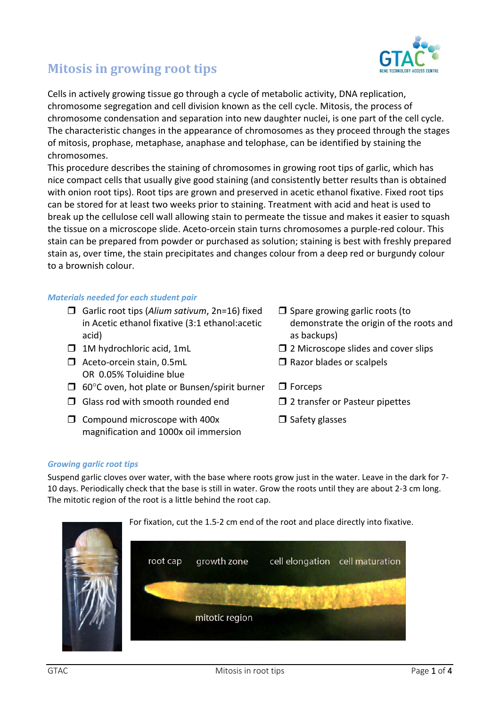

# **Mitosis in growing root tips**

Cells in actively growing tissue go through a cycle of metabolic activity, DNA replication, chromosome segregation and cell division known as the cell cycle. Mitosis, the process of chromosome condensation and separation into new daughter nuclei, is one part of the cell cycle. The characteristic changes in the appearance of chromosomes as they proceed through the stages of mitosis, prophase, metaphase, anaphase and telophase, can be identified by staining the chromosomes.

This procedure describes the staining of chromosomes in growing root tips of garlic, which has nice compact cells that usually give good staining (and consistently better results than is obtained with onion root tips). Root tips are grown and preserved in acetic ethanol fixative. Fixed root tips can be stored for at least two weeks prior to staining. Treatment with acid and heat is used to break up the cellulose cell wall allowing stain to permeate the tissue and makes it easier to squash the tissue on a microscope slide. Aceto‐orcein stain turns chromosomes a purple‐red colour. This stain can be prepared from powder or purchased as solution; staining is best with freshly prepared stain as, over time, the stain precipitates and changes colour from a deep red or burgundy colour to a brownish colour.

#### *Materials needed for each student pair*

- Garlic root tips (*Alium sativum*, 2n=16) fixed in Acetic ethanol fixative (3:1 ethanol:acetic acid)
- 
- □ Aceto-orcein stain, 0.5mL OR 0.05% Toluidine blue
- $\Box$  60°C oven, hot plate or Bunsen/spirit burner  $\Box$  Forceps
- $\Box$  Glass rod with smooth rounded end  $\Box$  2 transfer or Pasteur pipettes
- $\Box$  Compound microscope with 400x magnification and 1000x oil immersion
- $\Box$  Spare growing garlic roots (to demonstrate the origin of the roots and as backups)
- $\Box$  1M hydrochloric acid, 1mL  $\Box$  2 Microscope slides and cover slips
	- $\square$  Razor blades or scalpels
	-
	-
	- $\Box$  Safety glasses

#### *Growing garlic root tips*

Suspend garlic cloves over water, with the base where roots grow just in the water. Leave in the dark for 7‐ 10 days. Periodically check that the base is still in water. Grow the roots until they are about 2‐3 cm long. The mitotic region of the root is a little behind the root cap.

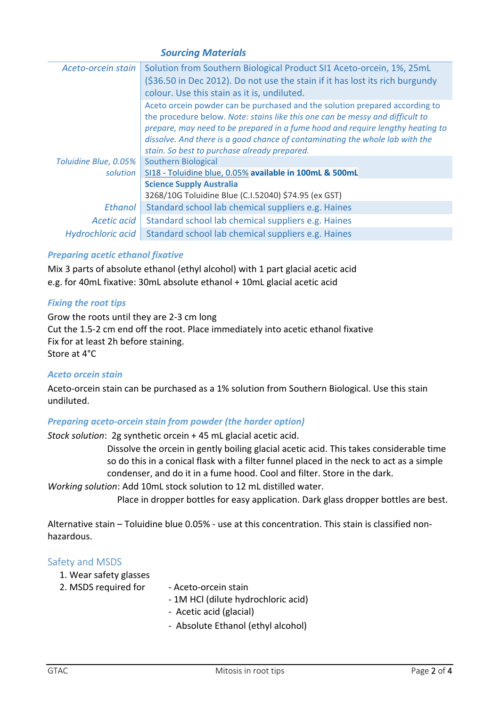### *Sourcing Materials*

| Aceto-orcein stain       | Solution from Southern Biological Product SI1 Aceto-orcein, 1%, 25mL<br>(\$36.50 in Dec 2012). Do not use the stain if it has lost its rich burgundy<br>colour. Use this stain as it is, undiluted.                                                                                                                                                                            |  |
|--------------------------|--------------------------------------------------------------------------------------------------------------------------------------------------------------------------------------------------------------------------------------------------------------------------------------------------------------------------------------------------------------------------------|--|
|                          | Aceto orcein powder can be purchased and the solution prepared according to<br>the procedure below. Note: stains like this one can be messy and difficult to<br>prepare, may need to be prepared in a fume hood and require lengthy heating to<br>dissolve. And there is a good chance of contaminating the whole lab with the<br>stain. So best to purchase already prepared. |  |
| Toluidine Blue, 0.05%    | <b>Southern Biological</b>                                                                                                                                                                                                                                                                                                                                                     |  |
| solution                 | SI18 - Toluidine blue, 0.05% available in 100mL & 500mL                                                                                                                                                                                                                                                                                                                        |  |
|                          | <b>Science Supply Australia</b>                                                                                                                                                                                                                                                                                                                                                |  |
|                          | 3268/10G Toluidine Blue (C.I.52040) \$74.95 (ex GST)                                                                                                                                                                                                                                                                                                                           |  |
| Ethanol                  | Standard school lab chemical suppliers e.g. Haines                                                                                                                                                                                                                                                                                                                             |  |
| Acetic acid              | Standard school lab chemical suppliers e.g. Haines                                                                                                                                                                                                                                                                                                                             |  |
| <b>Hydrochloric acid</b> | Standard school lab chemical suppliers e.g. Haines                                                                                                                                                                                                                                                                                                                             |  |

#### *Preparing acetic ethanol fixative*

Mix 3 parts of absolute ethanol (ethyl alcohol) with 1 part glacial acetic acid e.g. for 40mL fixative: 30mL absolute ethanol + 10mL glacial acetic acid

#### *Fixing the root tips*

Grow the roots until they are 2‐3 cm long Cut the 1.5‐2 cm end off the root. Place immediately into acetic ethanol fixative Fix for at least 2h before staining. Store at 4°C

#### *Aceto orcein stain*

Aceto-orcein stain can be purchased as a 1% solution from Southern Biological. Use this stain undiluted.

#### *Preparing aceto‐orcein stain from powder (the harder option)*

*Stock solution*: 2g synthetic orcein + 45 mL glacial acetic acid.

Dissolve the orcein in gently boiling glacial acetic acid. This takes considerable time so do this in a conical flask with a filter funnel placed in the neck to act as a simple condenser, and do it in a fume hood. Cool and filter. Store in the dark.

*Working solution*: Add 10mL stock solution to 12 mL distilled water.

Place in dropper bottles for easy application. Dark glass dropper bottles are best.

Alternative stain – Toluidine blue 0.05% ‐ use at this concentration. This stain is classified non‐ hazardous.

#### Safety and MSDS

- 1. Wear safety glasses
- 2. MSDS required for Aceto-orcein stain
	- ‐ 1M HCl (dilute hydrochloric acid)
	- ‐ Acetic acid (glacial)
	- ‐ Absolute Ethanol (ethyl alcohol)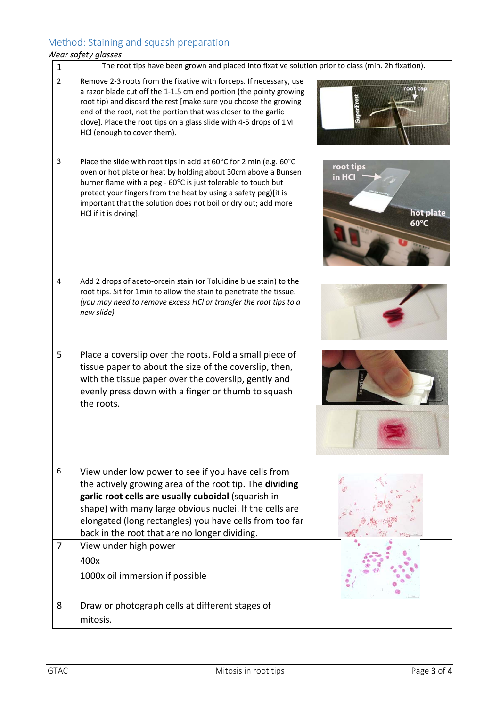# Method: Staining and squash preparation

## *Wear safety glasses*

| $\mathbf{1}$   | The root tips have been grown and placed into fixative solution prior to class (min. 2h fixation).                                                                                                                                                                                                                                                                                 |                                                    |  |
|----------------|------------------------------------------------------------------------------------------------------------------------------------------------------------------------------------------------------------------------------------------------------------------------------------------------------------------------------------------------------------------------------------|----------------------------------------------------|--|
| $\overline{2}$ | Remove 2-3 roots from the fixative with forceps. If necessary, use<br>a razor blade cut off the 1-1.5 cm end portion (the pointy growing<br>root tip) and discard the rest [make sure you choose the growing<br>end of the root, not the portion that was closer to the garlic<br>clove]. Place the root tips on a glass slide with 4-5 drops of 1M<br>HCl (enough to cover them). |                                                    |  |
| 3              | Place the slide with root tips in acid at 60°C for 2 min (e.g. 60°C<br>oven or hot plate or heat by holding about 30cm above a Bunsen<br>burner flame with a peg - 60°C is just tolerable to touch but<br>protect your fingers from the heat by using a safety peg)[it is<br>important that the solution does not boil or dry out; add more<br>HCl if it is drying].               | root tips<br>in HCl<br>hot plate<br>$60^{\circ}$ C |  |
| 4              | Add 2 drops of aceto-orcein stain (or Toluidine blue stain) to the<br>root tips. Sit for 1min to allow the stain to penetrate the tissue.<br>(you may need to remove excess HCl or transfer the root tips to a<br>new slide)                                                                                                                                                       |                                                    |  |
| 5              | Place a coverslip over the roots. Fold a small piece of<br>tissue paper to about the size of the coverslip, then,<br>with the tissue paper over the coverslip, gently and<br>evenly press down with a finger or thumb to squash<br>the roots.                                                                                                                                      |                                                    |  |
| 6              | View under low power to see if you have cells from<br>the actively growing area of the root tip. The dividing<br>garlic root cells are usually cuboidal (squarish in<br>shape) with many large obvious nuclei. If the cells are<br>elongated (long rectangles) you have cells from too far<br>back in the root that are no longer dividing.                                        |                                                    |  |
| 7              | View under high power<br>400x<br>1000x oil immersion if possible                                                                                                                                                                                                                                                                                                                   |                                                    |  |
| 8              | Draw or photograph cells at different stages of<br>mitosis.                                                                                                                                                                                                                                                                                                                        |                                                    |  |